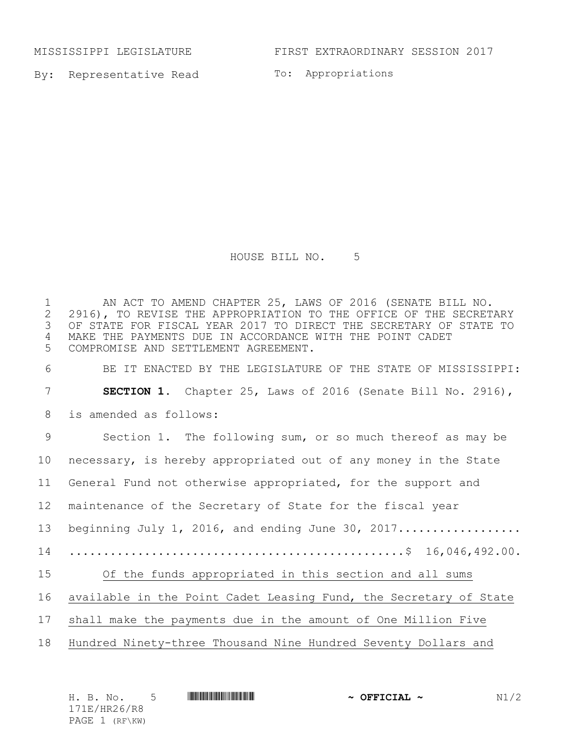By: Representative Read To: Appropriations

## HOUSE BILL NO. 5

1 AN ACT TO AMEND CHAPTER 25, LAWS OF 2016 (SENATE BILL NO.<br>2 2916), TO REVISE THE APPROPRIATION TO THE OFFICE OF THE SECRET 2 2916), TO REVISE THE APPROPRIATION TO THE OFFICE OF THE SECRETARY<br>3 OF STATE FOR FISCAL YEAR 2017 TO DIRECT THE SECRETARY OF STATE TO OF STATE FOR FISCAL YEAR 2017 TO DIRECT THE SECRETARY OF STATE TO MAKE THE PAYMENTS DUE IN ACCORDANCE WITH THE POINT CADET COMPROMISE AND SETTLEMENT AGREEMENT.

BE IT ENACTED BY THE LEGISLATURE OF THE STATE OF MISSISSIPPI:

 **SECTION 1.** Chapter 25, Laws of 2016 (Senate Bill No. 2916), is amended as follows: Section 1. The following sum, or so much thereof as may be necessary, is hereby appropriated out of any money in the State General Fund not otherwise appropriated, for the support and maintenance of the Secretary of State for the fiscal year 13 beginning July 1, 2016, and ending June 30, 2017.............................. .................................................\$ 16,046,492.00. Of the funds appropriated in this section and all sums available in the Point Cadet Leasing Fund, the Secretary of State shall make the payments due in the amount of One Million Five Hundred Ninety-three Thousand Nine Hundred Seventy Dollars and

| H. B. No. 5    | <u> III di kacamatan ing Kabupatèn Bandaran Ing Kabupatèn Bandaran Ing Kabupatèn Bandaran Ing Kabupatèn Bandaran </u> | $\sim$ OFFICIAL $\sim$ | N1/2 |
|----------------|-----------------------------------------------------------------------------------------------------------------------|------------------------|------|
| 171E/HR26/R8   |                                                                                                                       |                        |      |
| PAGE 1 (RF\KW) |                                                                                                                       |                        |      |